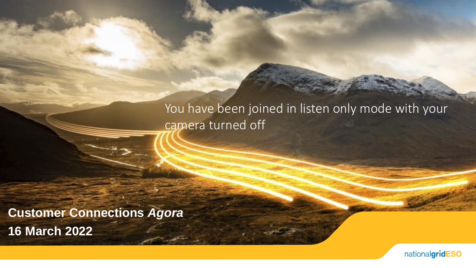## You have been joined in listen only mode with your camera turned off

**Customer Connections** *Agora* **16 March 2022**

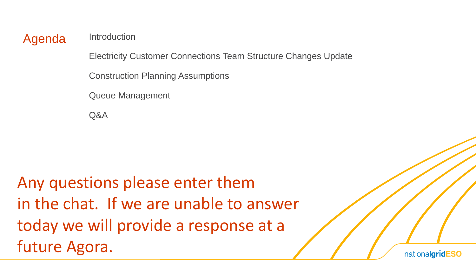Agenda Introduction

Electricity Customer Connections Team Structure Changes Update

Construction Planning Assumptions

Queue Management

Q&A

Any questions please enter them in the chat. If we are unable to answer today we will provide a response at a future Agora.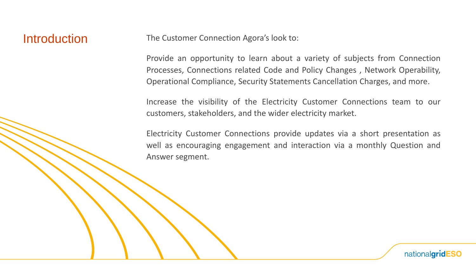### **Introduction**

The Customer Connection Agora's look to:

Provide an opportunity to learn about a variety of subjects from Connection Processes, Connections related Code and Policy Changes , Network Operability, Operational Compliance, Security Statements Cancellation Charges, and more.

Increase the visibility of the Electricity Customer Connections team to our customers, stakeholders, and the wider electricity market.

Electricity Customer Connections provide updates via a short presentation as well as encouraging engagement and interaction via a monthly Question and Answer segment.

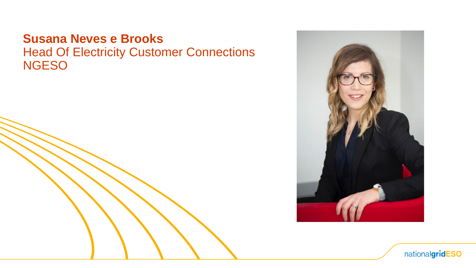### **Susana Neves e Brooks** Head Of Electricity Customer Connections **NGESO**



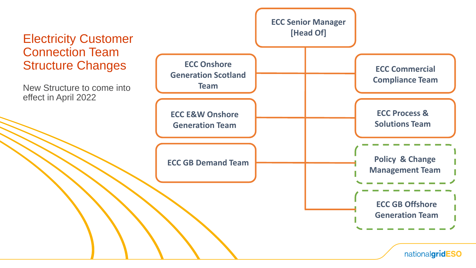### Electricity Customer Connection Team Structure Changes

New Structure to come into effect in April 2022

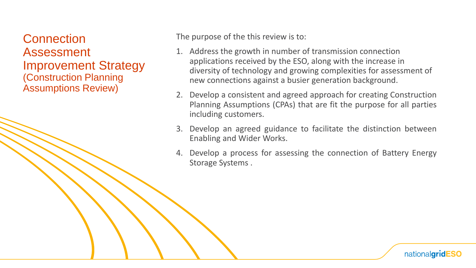**Connection** Assessment Improvement Strategy (Construction Planning Assumptions Review)

The purpose of the this review is to:

- 1. Address the growth in number of transmission connection applications received by the ESO, along with the increase in diversity of technology and growing complexities for assessment of new connections against a busier generation background.
- 2. Develop a consistent and agreed approach for creating Construction Planning Assumptions (CPAs) that are fit the purpose for all parties including customers.
- 3. Develop an agreed guidance to facilitate the distinction between Enabling and Wider Works.
- 4. Develop a process for assessing the connection of Battery Energy Storage Systems .

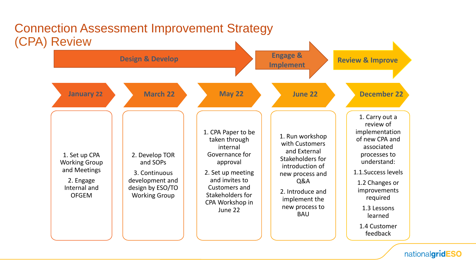

## Connection Assessment Improvement Strategy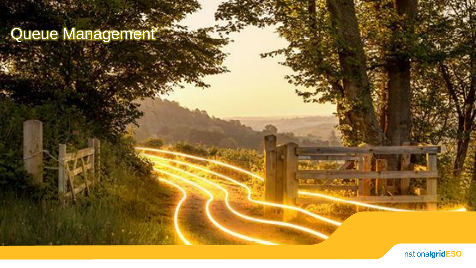# Queue Management



 $2$   $\sqrt{2}$ 

 $\frac{1}{2}$  . The  $\frac{1}{2}$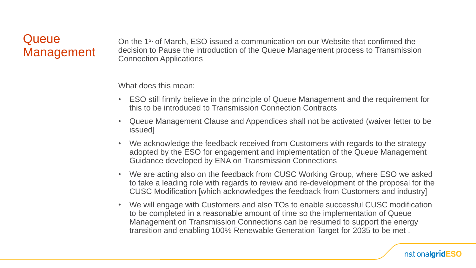### **Queue Management**

On the 1st of March, ESO issued a communication on our Website that confirmed the decision to Pause the introduction of the Queue Management process to Transmission Connection Applications

What does this mean:

- ESO still firmly believe in the principle of Queue Management and the requirement for this to be introduced to Transmission Connection Contracts
- Queue Management Clause and Appendices shall not be activated (waiver letter to be issued]
- We acknowledge the feedback received from Customers with regards to the strategy adopted by the ESO for engagement and implementation of the Queue Management Guidance developed by ENA on Transmission Connections
- We are acting also on the feedback from CUSC Working Group, where ESO we asked to take a leading role with regards to review and re-development of the proposal for the CUSC Modification [which acknowledges the feedback from Customers and industry]
- We will engage with Customers and also TOs to enable successful CUSC modification to be completed in a reasonable amount of time so the implementation of Queue Management on Transmission Connections can be resumed to support the energy transition and enabling 100% Renewable Generation Target for 2035 to be met .

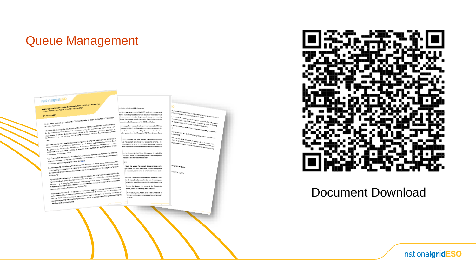### Queue Management

### nationalgridESO

### NOTIFICATION IN A SERVICE CONTRACTOR OF REPORT OF THE RESIDENCE.

### **BUT HELMANY WAS**

ger vestens a som<br>- Han som måling til proföre att udden at den CDO kaplemetasion af Custus Management in Theosticalli<br>- Han som den starte for

ting and welling to specific an understand for the company of the final program of the specification of the se<br>- The context figures with<br>- The profitability the Company interest Association (DAS) and their figures with an in station figures with<br>His contest for the Compt Marcoli Association CDM, and other industry organization is the development of the<br>His position with the Compt Marcolin Association and photographs of a 2011 and without an ant movement of the Congress Marcelli Association (1988), and the Collaboration Communication of the Congress <br>The Communication of the Congress Marcelline and the Congress of the Communication of the Congress of the Con<br>I

Replacions 2001 in parties with the first of the right Sing & Control Replacions 2001 is a top contage in<br>Cash:<br>1992 Study Sciences 2001 June President and A The Control Replace to Microsoft and the Industry and Portune<br>19 enves d'un la mais management à c'ha noge d'un ja sou sor tre moussy and la singe out allet.<br>De vestig de la management peut de verden en partie de vez genne en de la management de vez de vez de vez de<br>L'annotat de vez an 1. Jaan maalinga haad la 1940 (1945 metal) as oo ku u maayo wala laa taalaminga milim Comme.<br>Jackson ku meessay kasta kira milimani. Aaska sa dalala, walluuna waxalaaba kiraal ka guuraassa.<br>Kasta milimani ka kasta la ku ka 1992 holds patients and in California means the continuum spin of the continuum of the continuum and the process<br>Interpretations are continuum and antisotal for each process in each stability and with interpretational and

ments to be more refusible formations.<br>In anomatom connection agreements.<br>CSO Currentes are when approximately the behavior in the second interview Current Management descent in<br>CSO Currentes are this in Section would see men a management of the state of generation.<br>1. January 2008 1979, 1979, 1979, 1979, 1979, 1979, 1979, 1984, 1979, 1979, 1979, 1979, 1979, 1979, 1979, 197<br>1. January 2008 1979, 1979, 1979, 1979, 1979, 1979, 1979, 1979, 197

I Membership contractor all research to the call more party.<br>The state point of memory programmer to the call more party. d waaren 1 en 2013 het die Suid-Afrikaanse kollek.<br>gebruik van die gewone is 'n die Suid-Afrikaanse van die verkryfskip van met niet van die onderskip van die st<br>gebruik van die gewone van die stadius van die 15de eeu waar

a de la marca del secolo del secolo del ser del marca del ser del ser del ser del ser del ser del ser del ser<br>L'andre la Temple del ser del ser del ser de l'andre les ser de la marca del ser de la marca del ser del ser<br>L'a Bod voltet kappa geometer genometer in den angelsen er der men mensen om en versten bestelling av den genomet<br>Fören de mensen under mensen av det utvikligen om staten med staten mensen och på en blandet utvikligen.<br>I Fören and hot beginning stationary contents in the companies for a mission of the time mission is provided on the<br>So this sharp:<br>Appropriate provided Children books – CDO opposited for a mission in the mission for event water as

gen bestehend.<br>1980 - De Franse de State (1980 - 1992 de State de Land de State de Land de Land de Land de Land<br>1980 : Paris Mariano de Maria (1992 - 1992 de State de Land de Land de Land de Land de Land de Land de Land<br>19 to the moving of Microsoft of LCO computer has industry that in the computer state of the conditional state and<br>Apply Signs Schemater Computer states approximate the large parties in the condition in condition and conditi Agont piggaren d'Alfred Konstitution de la comme une forme de la comme au mais constitution de la comme<br>1935, Dem Britannic Barrel Montgresse de comme de la trapa solar remission en la grèce de la comme de la comm<br>1940 : d sas vuosi valtaan on valtalainen Taminadelta palkalainen<br>Tamminainen ontractad Padjadel lautamata Pauluksa (TIP)<br>vartamina sai voittoita Raal lautamata Pauluksa (TIP)

ana i dalah kapada - melang Trajasta Tanah Milandi (1991)<br>19 merupakan dan bermula pada kalimatan dari Propinsi Stati dan bermula pada menjadi Stati dan berkasa Stati<br>19 merupakan dan bersama Stati dan bermula pada terdapa

### tive is instrumed this shares now

lane.

Slow search photographs (CB) with the summer system orders Ke the mediately auditivist more results for termine on ever. Charles present. In the relieve their is business sharper to the reliefing Compa Management regulations artistics Transmission connection control is reflect the extractor of the D.D.C and healths.

to a significant second of rook control out interest the PRG and spinsters into TACC stand Transackation concentration accumulation in a  $\mathcal A$  indications are asymmetric wideling of a situations. Lemma and<br>took before mask an increasing the temperature of  $100\,h$  Gpc schemes<br>in Gaussian .

of ESO current with tree research Transmission connection. sus Panagement have relead their lasses and concerns. The Information or during our increasing more incorpologic difficult to: an of proparationis (marking) in terms of surface of massacks (as

and and reportive foot Game Monographic is required for una Pasi si "pasina" na Diaman Lilanagaamana la Pia Anna sepertana. roaged in set informed of this decision.

> moves the taxes Panagement desired and associated generants The limit Interiories of Council University of the closediest, both in terms of content and timeline, on the

that your a week home should and attituded the Course. The figure includes conference within the most 12 months player. estadiosis durated by conservated the earliest apportunity

Spiritual for signature, the competitivity Thresholder. reible, planer in a she being mar a basares!

By Suitcher Comessors Team anders wagene inquirity

The same distribution of the model of the day of the product manner in the contract of the same distribution of the contract of the same distribution of the contract of the contract of the contract of the contract of the

ha mulki sadariy dama titariki Distanti katani<br>Kimit ta Umumiyi katani yayi Distanti katani katani ya Ta Walioza<br>Kifi ta Sanata mwana wa Tanzani

n kan Sambara (a makamatan ing perenda Salariga)<br>Kilang Sambaran ang unitar kalamat, antar perang **CONTRACT STATISTICS SURE CONSUMING STATISTICS IN CONTRACT SURFACES**<br> **CONSUMING SURFACE CONTRACT SURFACES IN THE STATISTICS OF SURFACES**<br>
CONTRACT SURFACE IN ANGELES CONTRACT SURFACES IN THE STATISTICS OF SURFACES IN THE

an ayyunadi, da saska

**Michigan** 

ke sandra el Countra Adamsyramam.<br>Tanàna amin'ny faritr'i North

 $\tau$  for the states of a rest disc  $\mathcal{L}(M)$  . The<br>disc of the spectrum contribution of  $\mathcal{L}(M)$  . The<br>disc of the spectrum contribution of the spectrum contribution of<br>the spectrum contribution of the spectrum contrib

**TRACCHRISSIA PERMISSIONARY** 

*<u>Anders messes</u>* 

(Filef Falsusy 2022, we see ables to get our segment on

**Builder** 

### Document Download

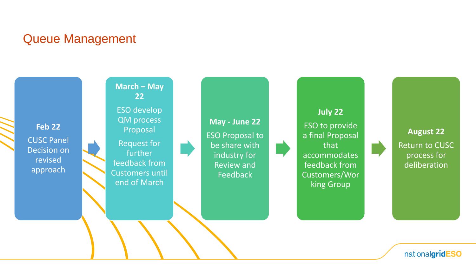### Queue Management

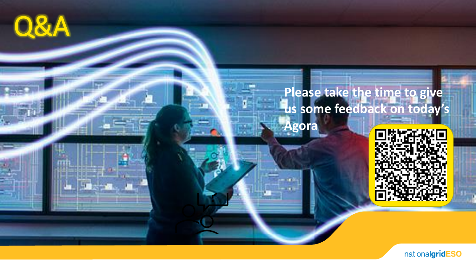

## **Please take the time to give us some feedback on today's**

**Agora**